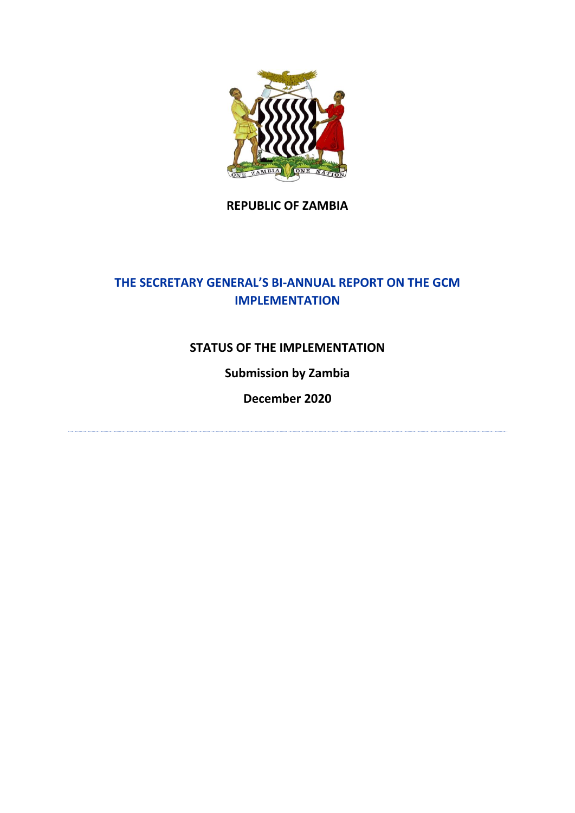

### **REPUBLIC OF ZAMBIA**

# **THE SECRETARY GENERAL'S BI-ANNUAL REPORT ON THE GCM IMPLEMENTATION**

### **STATUS OF THE IMPLEMENTATION**

## **Submission by Zambia**

**December 2020**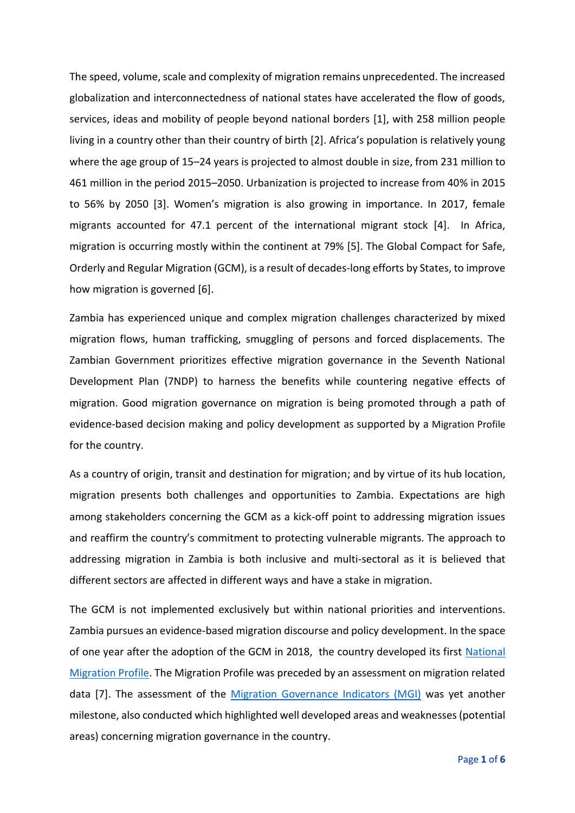The speed, volume, scale and complexity of migration remains unprecedented. The increased globalization and interconnectedness of national states have accelerated the flow of goods, services, ideas and mobility of people beyond national borders [1], with 258 million people living in a country other than their country of birth [2]. Africa's population is relatively young where the age group of 15–24 years is projected to almost double in size, from 231 million to 461 million in the period 2015–2050. Urbanization is projected to increase from 40% in 2015 to 56% by 2050 [3]. Women's migration is also growing in importance. In 2017, female migrants accounted for 47.1 percent of the international migrant stock [4]. In Africa, migration is occurring mostly within the continent at 79% [5]. The Global Compact for Safe, Orderly and Regular Migration (GCM), is a result of decades-long efforts by States, to improve how migration is governed [6].

Zambia has experienced unique and complex migration challenges characterized by mixed migration flows, human trafficking, smuggling of persons and forced displacements. The Zambian Government prioritizes effective migration governance in the Seventh National Development Plan (7NDP) to harness the benefits while countering negative effects of migration. Good migration governance on migration is being promoted through a path of evidence-based decision making and policy development as supported by a [Migration Profile](https://www.iom.int/sites/default/files/country/docs/zambia/zambia_migration_profile_2019.pdf) for the country.

As a country of origin, transit and destination for migration; and by virtue of its hub location, migration presents both challenges and opportunities to Zambia. Expectations are high among stakeholders concerning the GCM as a kick-off point to addressing migration issues and reaffirm the country's commitment to protecting vulnerable migrants. The approach to addressing migration in Zambia is both inclusive and multi-sectoral as it is believed that different sectors are affected in different ways and have a stake in migration.

The GCM is not implemented exclusively but within national priorities and interventions. Zambia pursues an evidence-based migration discourse and policy development. In the space of one year after the adoption of the GCM in 2018, the country developed its first [National](https://www.iom.int/sites/default/files/country/docs/zambia/zambia_migration_profile_2019.pdf)  [Migration Profile.](https://www.iom.int/sites/default/files/country/docs/zambia/zambia_migration_profile_2019.pdf) The Migration Profile was preceded by an assessment on migration related data [7]. The assessment of the [Migration Governance Indicators \(MGI\)](https://www.iom.int/sites/default/files/country/docs/zambia/zambia_migration_governance_indicators_2019.pdf) was yet another milestone, also conducted which highlighted well developed areas and weaknesses (potential areas) concerning migration governance in the country.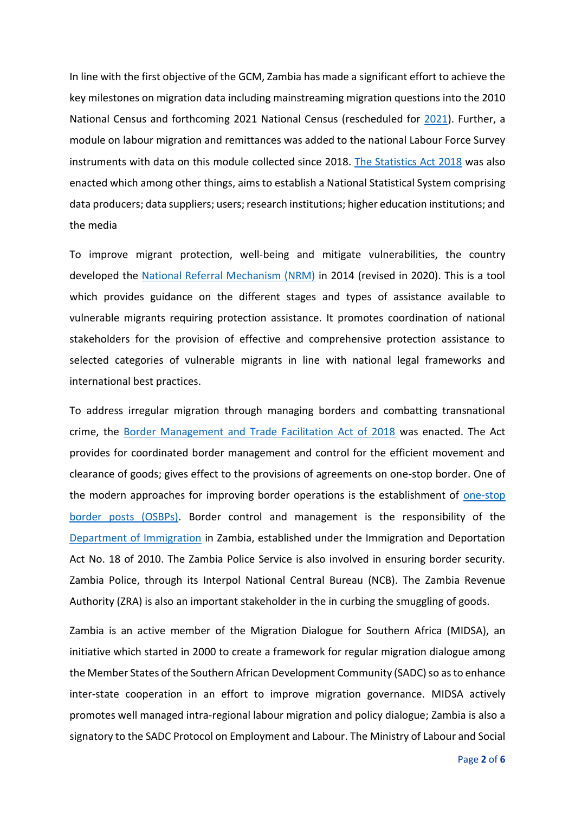In line with the first objective of the GCM, Zambia has made a significant effort to achieve the key milestones on migration data including mainstreaming migration questions into the 2010 National Census and forthcoming 2021 National Census (rescheduled for [2021\)](https://www.lusakatimes.com/2020/09/26/government-reschedules-the-census-of-population-exercise-to-2021/). Further, a module on labour migration and remittances was added to the national Labour Force Survey instruments with data on this module collected since 2018. [The Statistics Act 2018](http://www.parliament.gov.zm/sites/default/files/documents/acts/The%20Statistics%20Act%202018.pdf) was also enacted which among other things, aims to establish a National Statistical System comprising data producers; data suppliers; users; research institutions; higher education institutions; and the media

To improve migrant protection, well-being and mitigate vulnerabilities, the country developed the [National Referral Mechanism \(NRM\)](https://www.iom.int/files/live/sites/iom/files/Country/docs/National-Referral-Mechanism-NRM-for-the-Protection-of-Vulnerable-Migrants-in-Zambia.pdf) in 2014 (revised in 2020). This is a tool which provides guidance on the different stages and types of assistance available to vulnerable migrants requiring protection assistance. It promotes coordination of national stakeholders for the provision of effective and comprehensive protection assistance to selected categories of vulnerable migrants in line with national legal frameworks and international best practices.

To address irregular migration through managing borders and combatting transnational crime, the [Border Management and Trade Facilitation Act of 2018](http://www.parliament.gov.zm/sites/default/files/documents/acts/The%20Boarder%20Management%20Act%20No.%2012%20of%202018.pdf) was enacted. The Act provides for coordinated border management and control for the efficient movement and clearance of goods; gives effect to the provisions of agreements on one-stop border. One of the modern approaches for improving border operations is the establishment of [one-stop](https://www.tralac.org/documents/resources/african-union/1682-osbp-sourcebook-2nd-edition-may-2016/file.html)  [border posts \(OSBPs\).](https://www.tralac.org/documents/resources/african-union/1682-osbp-sourcebook-2nd-edition-may-2016/file.html) Border control and management is the responsibility of the [Department of Immigration](https://eservices.zambiaimmigration.gov.zm/#/home) in Zambia, established under the Immigration and Deportation Act No. 18 of 2010. The Zambia Police Service is also involved in ensuring border security. Zambia Police, through its Interpol National Central Bureau (NCB). The Zambia Revenue Authority (ZRA) is also an important stakeholder in the in curbing the smuggling of goods.

Zambia is an active member of the Migration Dialogue for Southern Africa (MIDSA), an initiative which started in 2000 to create a framework for regular migration dialogue among the Member States of the Southern African Development Community (SADC) so as to enhance inter-state cooperation in an effort to improve migration governance. MIDSA actively promotes well managed intra-regional labour migration and policy dialogue; Zambia is also a signatory to the SADC Protocol on Employment and Labour. The Ministry of Labour and Social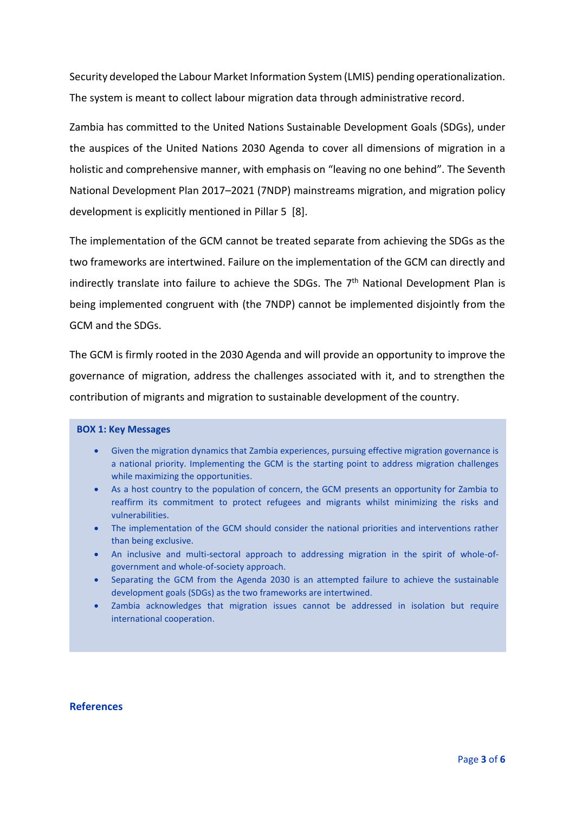Security developed the Labour Market Information System (LMIS) pending operationalization. The system is meant to collect labour migration data through administrative record.

Zambia has committed to the United Nations Sustainable Development Goals (SDGs), under the auspices of the United Nations 2030 Agenda to cover all dimensions of migration in a holistic and comprehensive manner, with emphasis on "leaving no one behind". The Seventh National Development Plan 2017–2021 (7NDP) mainstreams migration, and migration policy development is explicitly mentioned in Pillar 5 [8].

The implementation of the GCM cannot be treated separate from achieving the SDGs as the two frameworks are intertwined. Failure on the implementation of the GCM can directly and indirectly translate into failure to achieve the SDGs. The  $7<sup>th</sup>$  National Development Plan is being implemented congruent with (the 7NDP) cannot be implemented disjointly from the GCM and the SDGs.

The GCM is firmly rooted in the 2030 Agenda and will provide an opportunity to improve the governance of migration, address the challenges associated with it, and to strengthen the contribution of migrants and migration to sustainable development of the country.

#### **BOX 1: Key Messages**

- Given the migration dynamics that Zambia experiences, pursuing effective migration governance is a national priority. Implementing the GCM is the starting point to address migration challenges while maximizing the opportunities.
- As a host country to the population of concern, the GCM presents an opportunity for Zambia to reaffirm its commitment to protect refugees and migrants whilst minimizing the risks and vulnerabilities.
- The implementation of the GCM should consider the national priorities and interventions rather than being exclusive.
- An inclusive and multi-sectoral approach to addressing migration in the spirit of whole-ofgovernment and whole-of-society approach.
- Separating the GCM from the Agenda 2030 is an attempted failure to achieve the sustainable development goals (SDGs) as the two frameworks are intertwined.
- Zambia acknowledges that migration issues cannot be addressed in isolation but require international cooperation.

#### **References**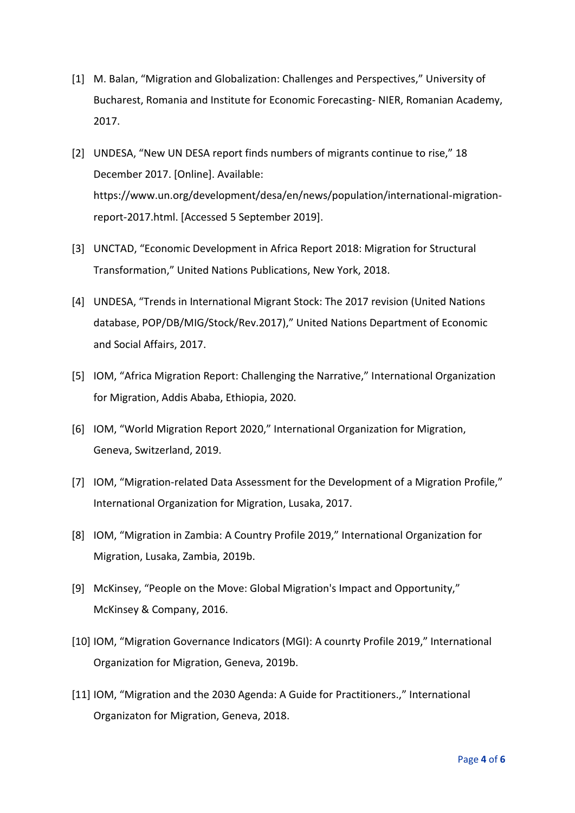- [1] M. Balan, "Migration and Globalization: Challenges and Perspectives," University of Bucharest, Romania and Institute for Economic Forecasting- NIER, Romanian Academy, 2017.
- [2] UNDESA, "New UN DESA report finds numbers of migrants continue to rise," 18 December 2017. [Online]. Available: https://www.un.org/development/desa/en/news/population/international-migrationreport-2017.html. [Accessed 5 September 2019].
- [3] UNCTAD, "Economic Development in Africa Report 2018: Migration for Structural Transformation," United Nations Publications, New York, 2018.
- [4] UNDESA, "Trends in International Migrant Stock: The 2017 revision (United Nations database, POP/DB/MIG/Stock/Rev.2017)," United Nations Department of Economic and Social Affairs, 2017.
- [5] IOM, "Africa Migration Report: Challenging the Narrative," International Organization for Migration, Addis Ababa, Ethiopia, 2020.
- [6] IOM, "World Migration Report 2020," International Organization for Migration, Geneva, Switzerland, 2019.
- [7] IOM, "Migration-related Data Assessment for the Development of a Migration Profile," International Organization for Migration, Lusaka, 2017.
- [8] IOM, "Migration in Zambia: A Country Profile 2019," International Organization for Migration, Lusaka, Zambia, 2019b.
- [9] McKinsey, "People on the Move: Global Migration's Impact and Opportunity," McKinsey & Company, 2016.
- [10] IOM, "Migration Governance Indicators (MGI): A counrty Profile 2019," International Organization for Migration, Geneva, 2019b.
- [11] IOM, "Migration and the 2030 Agenda: A Guide for Practitioners.," International Organizaton for Migration, Geneva, 2018.